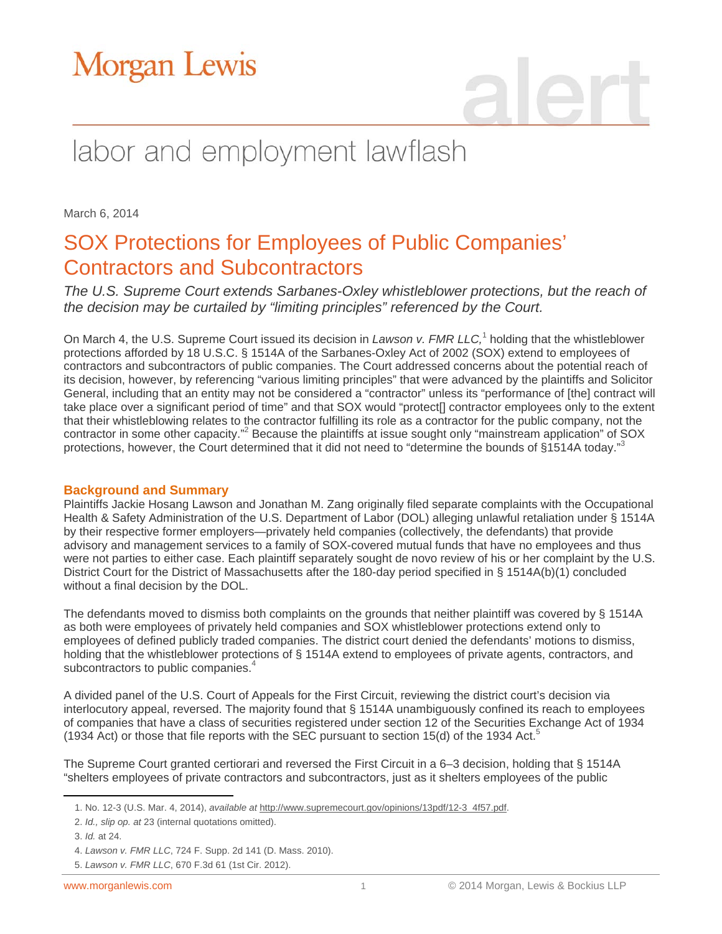## labor and employment lawflash

March 6, 2014

### SOX Protections for Employees of Public Companies' Contractors and Subcontractors

*The U.S. Supreme Court extends Sarbanes-Oxley whistleblower protections, but the reach of the decision may be curtailed by "limiting principles" referenced by the Court.*

On March 4, the U.S. Supreme Court issued its decision in *Lawson v. FMR LLC*,<sup>1</sup> holding that the whistleblower protections afforded by 18 U.S.C. § 1514A of the Sarbanes-Oxley Act of 2002 (SOX) extend to employees of contractors and subcontractors of public companies. The Court addressed concerns about the potential reach of its decision, however, by referencing "various limiting principles" that were advanced by the plaintiffs and Solicitor General, including that an entity may not be considered a "contractor" unless its "performance of [the] contract will take place over a significant period of time" and that SOX would "protect[] contractor employees only to the extent that their whistleblowing relates to the contractor fulfilling its role as a contractor for the public company, not the contractor in some other capacity."<sup>2</sup> Because the plaintiffs at issue sought only "mainstream application" of SOX protections, however, the Court determined that it did not need to "determine the bounds of §1514A today."

#### **Background and Summary**

Plaintiffs Jackie Hosang Lawson and Jonathan M. Zang originally filed separate complaints with the Occupational Health & Safety Administration of the U.S. Department of Labor (DOL) alleging unlawful retaliation under § 1514A by their respective former employers—privately held companies (collectively, the defendants) that provide advisory and management services to a family of SOX-covered mutual funds that have no employees and thus were not parties to either case. Each plaintiff separately sought de novo review of his or her complaint by the U.S. District Court for the District of Massachusetts after the 180-day period specified in § 1514A(b)(1) concluded without a final decision by the DOL.

The defendants moved to dismiss both complaints on the grounds that neither plaintiff was covered by § 1514A as both were employees of privately held companies and SOX whistleblower protections extend only to employees of defined publicly traded companies. The district court denied the defendants' motions to dismiss, holding that the whistleblower protections of § 1514A extend to employees of private agents, contractors, and subcontractors to public companies.<sup>4</sup>

A divided panel of the U.S. Court of Appeals for the First Circuit, reviewing the district court's decision via interlocutory appeal, reversed. The majority found that § 1514A unambiguously confined its reach to employees of companies that have a class of securities registered under section 12 of the Securities Exchange Act of 1934 (1934 Act) or those that file reports with the SEC pursuant to section 15(d) of the 1934 Act.<sup>5</sup>

The Supreme Court granted certiorari and reversed the First Circuit in a 6–3 decision, holding that § 1514A "shelters employees of private contractors and subcontractors, just as it shelters employees of the public

 $\overline{a}$ 

<sup>1.</sup> No. 12-3 (U.S. Mar. 4, 2014), *available at* [http://www.supremecourt.gov/opinions/13pdf/12-3\\_4f57.pdf.](http://www.supremecourt.gov/opinions/13pdf/12-3_4f57.pdf) 

<sup>2.</sup> *Id., slip op. at* 23 (internal quotations omitted).

<sup>3.</sup> *Id.* at 24.

<sup>4.</sup> *Lawson v. FMR LLC*, 724 F. Supp. 2d 141 (D. Mass. 2010).

<sup>5.</sup> *Lawson v. FMR LLC*, 670 F.3d 61 (1st Cir. 2012).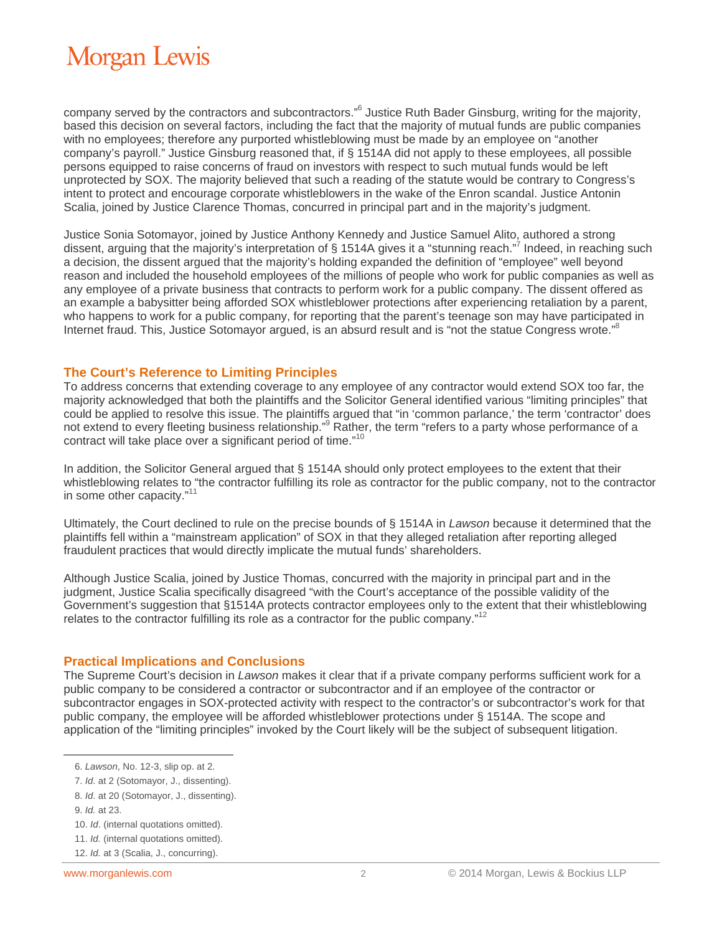company served by the contractors and subcontractors."<sup>6</sup> Justice Ruth Bader Ginsburg, writing for the majority, based this decision on several factors, including the fact that the majority of mutual funds are public companies with no employees; therefore any purported whistleblowing must be made by an employee on "another company's payroll." Justice Ginsburg reasoned that, if § 1514A did not apply to these employees, all possible persons equipped to raise concerns of fraud on investors with respect to such mutual funds would be left unprotected by SOX. The majority believed that such a reading of the statute would be contrary to Congress's intent to protect and encourage corporate whistleblowers in the wake of the Enron scandal. Justice Antonin Scalia, joined by Justice Clarence Thomas, concurred in principal part and in the majority's judgment.

Justice Sonia Sotomayor, joined by Justice Anthony Kennedy and Justice Samuel Alito, authored a strong dissent, arguing that the majority's interpretation of § 1514A gives it a "stunning reach."<sup>7</sup> Indeed, in reaching such a decision, the dissent argued that the majority's holding expanded the definition of "employee" well beyond reason and included the household employees of the millions of people who work for public companies as well as any employee of a private business that contracts to perform work for a public company. The dissent offered as an example a babysitter being afforded SOX whistleblower protections after experiencing retaliation by a parent, who happens to work for a public company, for reporting that the parent's teenage son may have participated in Internet fraud. This, Justice Sotomayor argued, is an absurd result and is "not the statue Congress wrote."<sup>8</sup>

#### **The Court's Reference to Limiting Principles**

To address concerns that extending coverage to any employee of any contractor would extend SOX too far, the majority acknowledged that both the plaintiffs and the Solicitor General identified various "limiting principles" that could be applied to resolve this issue. The plaintiffs argued that "in 'common parlance,' the term 'contractor' does not extend to every fleeting business relationship."<sup>9</sup> Rather, the term "refers to a party whose performance of a contract will take place over a significant period of time."<sup>10</sup>

In addition, the Solicitor General argued that § 1514A should only protect employees to the extent that their whistleblowing relates to "the contractor fulfilling its role as contractor for the public company, not to the contractor in some other capacity."<sup>11</sup>

Ultimately, the Court declined to rule on the precise bounds of § 1514A in *Lawson* because it determined that the plaintiffs fell within a "mainstream application" of SOX in that they alleged retaliation after reporting alleged fraudulent practices that would directly implicate the mutual funds' shareholders.

Although Justice Scalia, joined by Justice Thomas, concurred with the majority in principal part and in the judgment, Justice Scalia specifically disagreed "with the Court's acceptance of the possible validity of the Government's suggestion that §1514A protects contractor employees only to the extent that their whistleblowing relates to the contractor fulfilling its role as a contractor for the public company. $12$ 

#### **Practical Implications and Conclusions**

The Supreme Court's decision in *Lawson* makes it clear that if a private company performs sufficient work for a public company to be considered a contractor or subcontractor and if an employee of the contractor or subcontractor engages in SOX-protected activity with respect to the contractor's or subcontractor's work for that public company, the employee will be afforded whistleblower protections under § 1514A. The scope and application of the "limiting principles" invoked by the Court likely will be the subject of subsequent litigation.

 $\overline{a}$ 

<sup>6.</sup> *Lawson*, No. 12-3, slip op. at 2.

<sup>7.</sup> *Id*. at 2 (Sotomayor, J., dissenting).

<sup>8.</sup> *Id*. at 20 (Sotomayor, J., dissenting).

<sup>9.</sup> *Id.* at 23.

<sup>10.</sup> *Id*. (internal quotations omitted).

<sup>11.</sup> *Id.* (internal quotations omitted).

<sup>12.</sup> *Id.* at 3 (Scalia, J., concurring).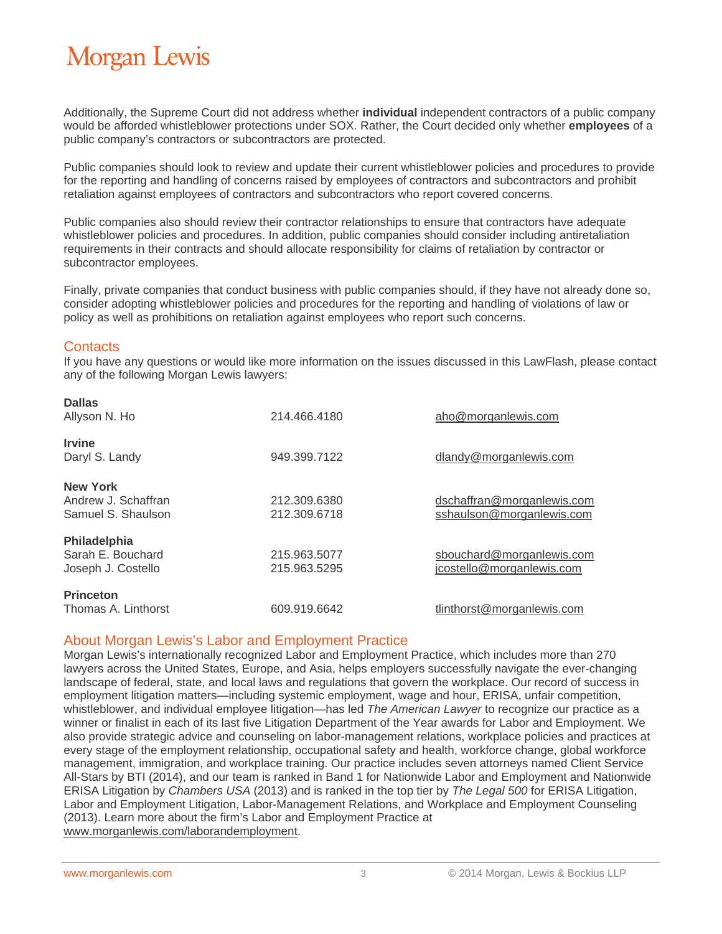Additionally, the Supreme Court did not address whether **individual** independent contractors of a public company would be afforded whistleblower protections under SOX. Rather, the Court decided only whether **employees** of a public company's contractors or subcontractors are protected.

Public companies should look to review and update their current whistleblower policies and procedures to provide for the reporting and handling of concerns raised by employees of contractors and subcontractors and prohibit retaliation against employees of contractors and subcontractors who report covered concerns.

Public companies also should review their contractor relationships to ensure that contractors have adequate whistleblower policies and procedures. In addition, public companies should consider including antiretaliation requirements in their contracts and should allocate responsibility for claims of retaliation by contractor or subcontractor employees.

Finally, private companies that conduct business with public companies should, if they have not already done so, consider adopting whistleblower policies and procedures for the reporting and handling of violations of law or policy as well as prohibitions on retaliation against employees who report such concerns.

#### **Contacts**

If you have any questions or would like more information on the issues discussed in this LawFlash, please contact any of the following Morgan Lewis lawyers:

| <b>Dallas</b><br>Allyson N. Ho                               | 214.466.4180                 | aho@morganlewis.com                                     |
|--------------------------------------------------------------|------------------------------|---------------------------------------------------------|
| <b>Irvine</b><br>Daryl S. Landy                              | 949.399.7122                 | dlandy@morganlewis.com                                  |
| <b>New York</b><br>Andrew J. Schaffran<br>Samuel S. Shaulson | 212.309.6380<br>212.309.6718 | dschaffran@morganlewis.com<br>sshaulson@morganlewis.com |
| Philadelphia<br>Sarah E. Bouchard<br>Joseph J. Costello      | 215.963.5077<br>215.963.5295 | sbouchard@morganlewis.com<br>jcostello@morganlewis.com  |
| <b>Princeton</b><br>Thomas A. Linthorst                      | 609.919.6642                 | tlinthorst@morganlewis.com                              |

#### About Morgan Lewis's Labor and Employment Practice

Morgan Lewis's internationally recognized Labor and Employment Practice, which includes more than 270 lawyers across the United States, Europe, and Asia, helps employers successfully navigate the ever-changing landscape of federal, state, and local laws and regulations that govern the workplace. Our record of success in employment litigation matters—including systemic employment, wage and hour, ERISA, unfair competition, whistleblower, and individual employee litigation—has led *The American Lawyer* to recognize our practice as a winner or finalist in each of its last five Litigation Department of the Year awards for Labor and Employment. We also provide strategic advice and counseling on labor-management relations, workplace policies and practices at every stage of the employment relationship, occupational safety and health, workforce change, global workforce management, immigration, and workplace training. Our practice includes seven attorneys named Client Service All-Stars by BTI (2014), and our team is ranked in Band 1 for Nationwide Labor and Employment and Nationwide ERISA Litigation by *Chambers USA* (2013) and is ranked in the top tier by *The Legal 500* for ERISA Litigation, Labor and Employment Litigation, Labor-Management Relations, and Workplace and Employment Counseling (2013). Learn more about the firm's Labor and Employment Practice at www.morganlewis.com/laborandemployment.